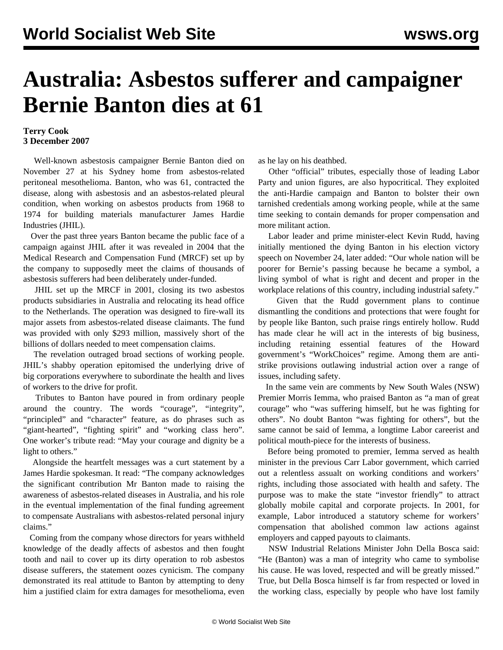## **Australia: Asbestos sufferer and campaigner Bernie Banton dies at 61**

## **Terry Cook 3 December 2007**

 Well-known asbestosis campaigner Bernie Banton died on November 27 at his Sydney home from asbestos-related peritoneal mesothelioma. Banton, who was 61, contracted the disease, along with asbestosis and an asbestos-related pleural condition, when working on asbestos products from 1968 to 1974 for building materials manufacturer James Hardie Industries (JHIL).

 Over the past three years Banton became the public face of a campaign against JHIL after it was revealed in 2004 that the Medical Research and Compensation Fund (MRCF) set up by the company to supposedly meet the claims of thousands of asbestosis sufferers had been deliberately under-funded.

 JHIL set up the MRCF in 2001, closing its two asbestos products subsidiaries in Australia and relocating its head office to the Netherlands. The operation was designed to fire-wall its major assets from asbestos-related disease claimants. The fund was provided with only \$293 million, massively short of the billions of dollars needed to meet compensation claims.

 The revelation outraged broad sections of working people. JHIL's shabby operation epitomised the underlying drive of big corporations everywhere to subordinate the health and lives of workers to the drive for profit.

 Tributes to Banton have poured in from ordinary people around the country. The words "courage", "integrity", "principled" and "character" feature, as do phrases such as "giant-hearted", "fighting spirit" and "working class hero". One worker's tribute read: "May your courage and dignity be a light to others."

 Alongside the heartfelt messages was a curt statement by a James Hardie spokesman. It read: "The company acknowledges the significant contribution Mr Banton made to raising the awareness of asbestos-related diseases in Australia, and his role in the eventual implementation of the final funding agreement to compensate Australians with asbestos-related personal injury claims."

 Coming from the company whose directors for years withheld knowledge of the deadly affects of asbestos and then fought tooth and nail to cover up its dirty operation to rob asbestos disease sufferers, the statement oozes cynicism. The company demonstrated its real attitude to Banton by attempting to deny him a justified claim for extra damages for mesothelioma, even as he lay on his deathbed.

 Other "official" tributes, especially those of leading Labor Party and union figures, are also hypocritical. They exploited the anti-Hardie campaign and Banton to bolster their own tarnished credentials among working people, while at the same time seeking to contain demands for proper compensation and more militant action.

 Labor leader and prime minister-elect Kevin Rudd, having initially mentioned the dying Banton in his election victory speech on November 24, later added: "Our whole nation will be poorer for Bernie's passing because he became a symbol, a living symbol of what is right and decent and proper in the workplace relations of this country, including industrial safety."

 Given that the Rudd government plans to continue dismantling the conditions and protections that were fought for by people like Banton, such praise rings entirely hollow. Rudd has made clear he will act in the interests of big business, including retaining essential features of the Howard government's "WorkChoices" regime. Among them are antistrike provisions outlawing industrial action over a range of issues, including safety.

 In the same vein are comments by New South Wales (NSW) Premier Morris Iemma, who praised Banton as "a man of great courage" who "was suffering himself, but he was fighting for others". No doubt Banton "was fighting for others", but the same cannot be said of Iemma, a longtime Labor careerist and political mouth-piece for the interests of business.

 Before being promoted to premier, Iemma served as health minister in the previous Carr Labor government, which carried out a relentless assualt on working conditions and workers' rights, including those associated with health and safety. The purpose was to make the state "investor friendly" to attract globally mobile capital and corporate projects. In 2001, for example, Labor introduced a statutory scheme for workers' compensation that abolished common law actions against employers and capped payouts to claimants.

 NSW Industrial Relations Minister John Della Bosca said: "He (Banton) was a man of integrity who came to symbolise his cause. He was loved, respected and will be greatly missed." True, but Della Bosca himself is far from respected or loved in the working class, especially by people who have lost family